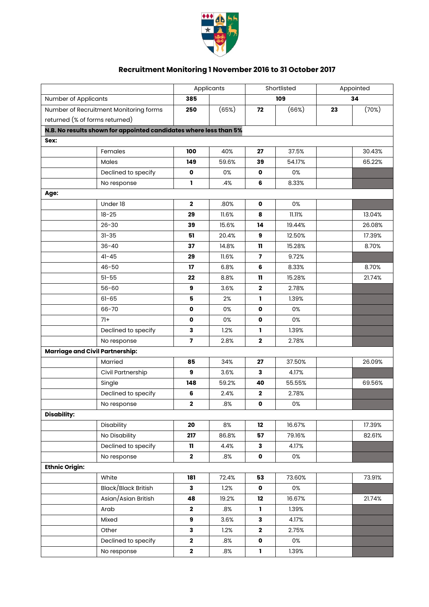

## **Recruitment Monitoring 1 November 2016 to 31 October 2017**

|                                        |                                                                   | Applicants              |       | Shortlisted             |        | Appointed |        |
|----------------------------------------|-------------------------------------------------------------------|-------------------------|-------|-------------------------|--------|-----------|--------|
| Number of Applicants                   |                                                                   | 385                     |       | 109                     |        | 34        |        |
| Number of Recruitment Monitoring forms |                                                                   | 250                     | (65%) | 72                      | (66%)  | 23        | (70%)  |
| returned (% of forms returned)         |                                                                   |                         |       |                         |        |           |        |
|                                        | N.B. No results shown for appointed candidates where less than 5% |                         |       |                         |        |           |        |
| Sex:                                   |                                                                   |                         |       |                         |        |           |        |
|                                        | Females                                                           | 100                     | 40%   | 27                      | 37.5%  |           | 30.43% |
|                                        | Males                                                             | 149                     | 59.6% | 39                      | 54.17% |           | 65.22% |
|                                        | Declined to specify                                               | $\mathbf 0$             | 0%    | $\mathbf{o}$            | 0%     |           |        |
|                                        | No response                                                       | ı.                      | .4%   | 6                       | 8.33%  |           |        |
| Age:                                   |                                                                   |                         |       |                         |        |           |        |
|                                        | Under 18                                                          | $\mathbf{2}$            | .80%  | 0                       | 0%     |           |        |
|                                        | $18 - 25$                                                         | 29                      | 11.6% | 8                       | 11.11% |           | 13.04% |
|                                        | $26 - 30$                                                         | 39                      | 15.6% | 14                      | 19.44% |           | 26.08% |
|                                        | $31 - 35$                                                         | 51                      | 20.4% | 9                       | 12.50% |           | 17.39% |
|                                        | $36 - 40$                                                         | 37                      | 14.8% | 11                      | 15.28% |           | 8.70%  |
|                                        | $41 - 45$                                                         | 29                      | 11.6% | $\overline{\mathbf{z}}$ | 9.72%  |           |        |
|                                        | $46 - 50$                                                         | 17                      | 6.8%  | 6                       | 8.33%  |           | 8.70%  |
|                                        | $51 - 55$                                                         | 22                      | 8.8%  | 11                      | 15.28% |           | 21.74% |
|                                        | $56 - 60$                                                         | 9                       | 3.6%  | $\mathbf 2$             | 2.78%  |           |        |
|                                        | $61 - 65$                                                         | 5                       | 2%    | ı                       | 1.39%  |           |        |
|                                        | 66-70                                                             | $\mathbf 0$             | 0%    | $\mathbf 0$             | 0%     |           |        |
|                                        | $71+$                                                             | $\mathbf 0$             | 0%    | $\mathbf 0$             | 0%     |           |        |
|                                        | Declined to specify                                               | 3                       | 1.2%  | L                       | 1.39%  |           |        |
|                                        | No response                                                       | $\overline{\mathbf{z}}$ | 2.8%  | $\mathbf 2$             | 2.78%  |           |        |
| <b>Marriage and Civil Partnership:</b> |                                                                   |                         |       |                         |        |           |        |
|                                        | Married                                                           | 85                      | 34%   | 27                      | 37.50% |           | 26.09% |
|                                        | Civil Partnership                                                 | 9                       | 3.6%  | 3                       | 4.17%  |           |        |
|                                        | Single                                                            | 148                     | 59.2% | 40                      | 55.55% |           | 69.56% |
|                                        | Declined to specify                                               | 6                       | 2.4%  | $\mathbf 2$             | 2.78%  |           |        |
|                                        | No response                                                       | $\mathbf 2$             | .8%   | o                       | 0%     |           |        |
| <b>Disability:</b>                     |                                                                   |                         |       |                         |        |           |        |
|                                        | Disability                                                        | 20                      | 8%    | 12                      | 16.67% |           | 17.39% |
|                                        | No Disability                                                     | 217                     | 86.8% | 57                      | 79.16% |           | 82.61% |
|                                        | Declined to specify                                               | $\mathbf{11}$           | 4.4%  | 3                       | 4.17%  |           |        |
|                                        | No response                                                       | $\mathbf{2}$            | .8%   | $\pmb{\mathsf{o}}$      | 0%     |           |        |
| <b>Ethnic Origin:</b>                  |                                                                   |                         |       |                         |        |           |        |
|                                        | White                                                             | 181                     | 72.4% | 53                      | 73.60% |           | 73.91% |
|                                        | Black/Black British                                               | 3                       | 1.2%  | $\mathbf{o}$            | 0%     |           |        |
|                                        | Asian/Asian British                                               | 48                      | 19.2% | 12                      | 16.67% |           | 21.74% |
|                                        | Arab                                                              | $\mathbf{2}$            | .8%   | $\mathbf{I}$            | 1.39%  |           |        |
|                                        | Mixed                                                             | 9                       | 3.6%  | $\mathbf{3}$            | 4.17%  |           |        |
|                                        | Other                                                             | 3                       | 1.2%  | $\mathbf{2}$            | 2.75%  |           |        |
|                                        | Declined to specify                                               | $\mathbf 2$             | .8%   | $\pmb{\mathsf{o}}$      | 0%     |           |        |
|                                        | No response                                                       | $\mathbf 2$             | .8%   | $\mathbf 1$             | 1.39%  |           |        |